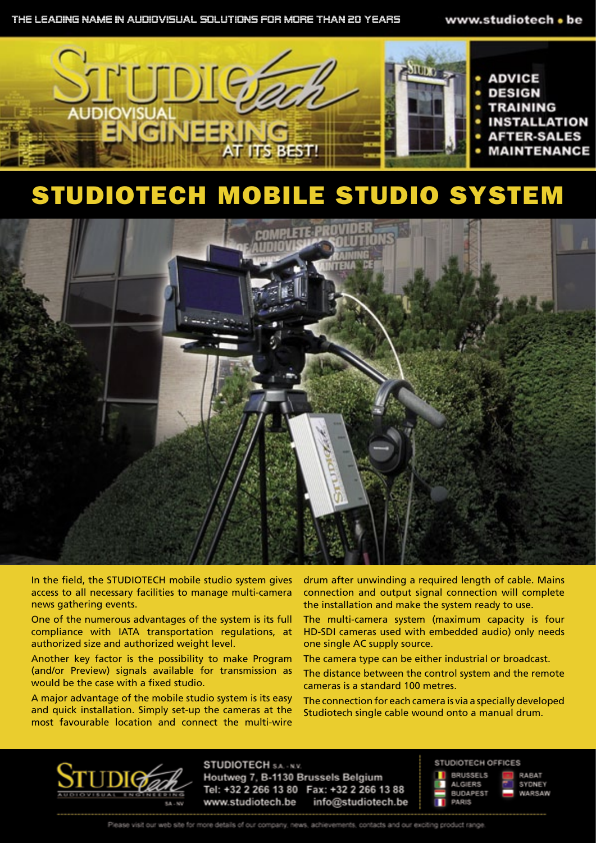

## STUDIOTECH MOBILE STUDIO SYSTEM



In the field, the STUDIOTECH mobile studio system gives access to all necessary facilities to manage multi-camera news gathering events.

One of the numerous advantages of the system is its full compliance with IATA transportation regulations, at authorized size and authorized weight level.

Another key factor is the possibility to make Program (and/or Preview) signals available for transmission as would be the case with a fixed studio.

A major advantage of the mobile studio system is its easy and quick installation. Simply set-up the cameras at the most favourable location and connect the multi-wire

drum after unwinding a required length of cable. Mains connection and output signal connection will complete the installation and make the system ready to use.

The multi-camera system (maximum capacity is four HD-SDI cameras used with embedded audio) only needs one single AC supply source.

The camera type can be either industrial or broadcast.

The distance between the control system and the remote cameras is a standard 100 metres.

The connection for each camera is via a specially developed Studiotech single cable wound onto a manual drum.



**STUDIOTECH SA. - N.V.** Houtweg 7, B-1130 Brussels Belgium Tel: +32 2 266 13 80 Fax: +32 2 266 13 88 info@studiotech.be www.studiotech.be

#### STUDIOTECH OFFICES



RABAT SYDNEY WARSAW

Please visit our web site for more details of our company, news, achievements, contacts and our exciting product range